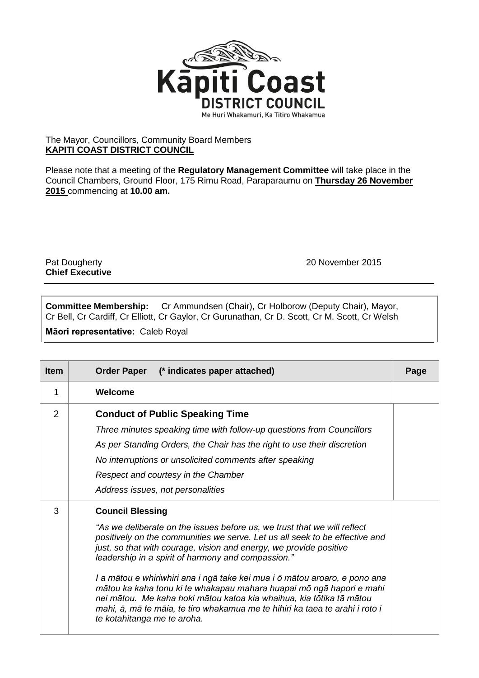

## The Mayor, Councillors, Community Board Members **KAPITI COAST DISTRICT COUNCIL**

Please note that a meeting of the **Regulatory Management Committee** will take place in the Council Chambers, Ground Floor, 175 Rimu Road, Paraparaumu on **Thursday 26 November 2015** commencing at **10.00 am.**

**Chief Executive**

Pat Dougherty 2015

**Committee Membership:** Cr Ammundsen (Chair), Cr Holborow (Deputy Chair), Mayor, Cr Bell, Cr Cardiff, Cr Elliott, Cr Gaylor, Cr Gurunathan, Cr D. Scott, Cr M. Scott, Cr Welsh

**Māori representative:** Caleb Royal

| <b>Item</b> | (* indicates paper attached)<br><b>Order Paper</b>                                                                                                                                                                                                                                                                                                                                                                                                                                                                                                                                                                                                          | Page |
|-------------|-------------------------------------------------------------------------------------------------------------------------------------------------------------------------------------------------------------------------------------------------------------------------------------------------------------------------------------------------------------------------------------------------------------------------------------------------------------------------------------------------------------------------------------------------------------------------------------------------------------------------------------------------------------|------|
| 1           | Welcome                                                                                                                                                                                                                                                                                                                                                                                                                                                                                                                                                                                                                                                     |      |
| 2           | <b>Conduct of Public Speaking Time</b><br>Three minutes speaking time with follow-up questions from Councillors<br>As per Standing Orders, the Chair has the right to use their discretion<br>No interruptions or unsolicited comments after speaking<br>Respect and courtesy in the Chamber<br>Address issues, not personalities                                                                                                                                                                                                                                                                                                                           |      |
| 3           | <b>Council Blessing</b><br>"As we deliberate on the issues before us, we trust that we will reflect<br>positively on the communities we serve. Let us all seek to be effective and<br>just, so that with courage, vision and energy, we provide positive<br>leadership in a spirit of harmony and compassion."<br>I a mātou e whiriwhiri ana i ngā take kei mua i ō mātou aroaro, e pono ana<br>mātou ka kaha tonu ki te whakapau mahara huapai mō ngā hapori e mahi<br>nei mātou. Me kaha hoki mātou katoa kia whaihua, kia tōtika tā mātou<br>mahi, ā, mā te māia, te tiro whakamua me te hihiri ka taea te arahi i roto i<br>te kotahitanga me te aroha. |      |